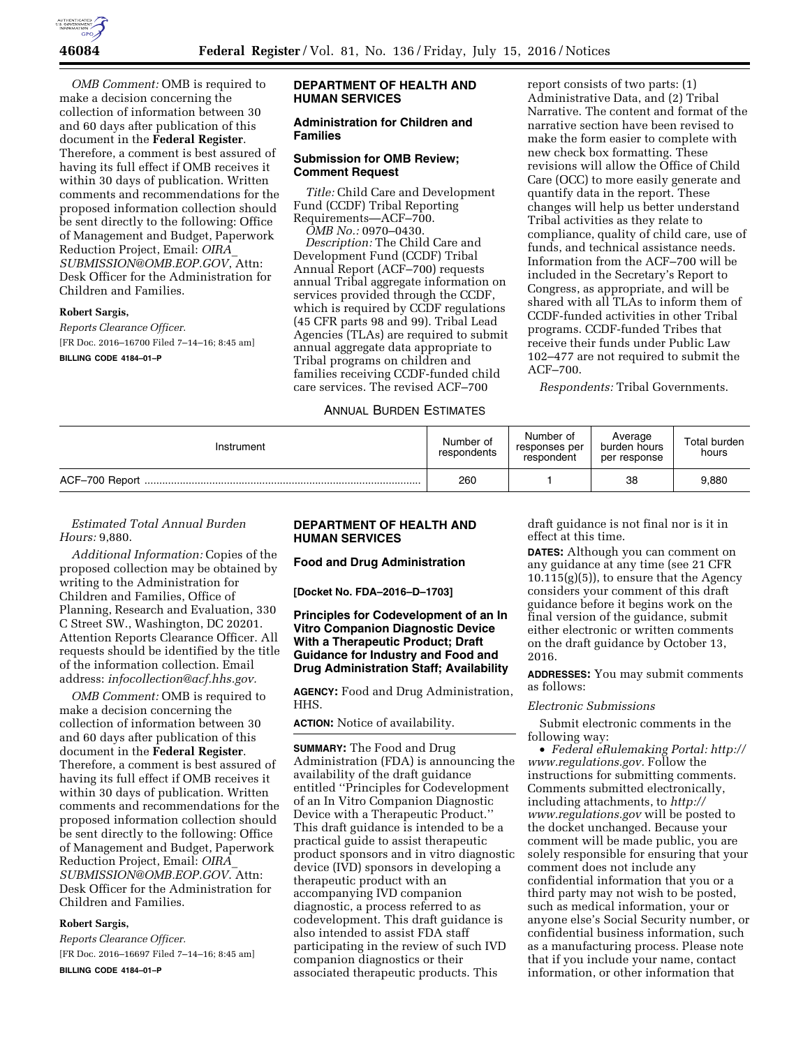

*OMB Comment:* OMB is required to make a decision concerning the collection of information between 30 and 60 days after publication of this document in the **Federal Register**. Therefore, a comment is best assured of having its full effect if OMB receives it within 30 days of publication. Written comments and recommendations for the proposed information collection should be sent directly to the following: Office of Management and Budget, Paperwork Reduction Project, Email: *[OIRA](mailto:OIRA_SUBMISSION@OMB.EOP.GOV)*\_ *[SUBMISSION@OMB.EOP.GOV](mailto:OIRA_SUBMISSION@OMB.EOP.GOV)*, Attn: Desk Officer for the Administration for Children and Families.

### **Robert Sargis,**

*Reports Clearance Officer.* 

[FR Doc. 2016–16700 Filed 7–14–16; 8:45 am]

#### **BILLING CODE 4184–01–P**

## **DEPARTMENT OF HEALTH AND HUMAN SERVICES**

### **Administration for Children and Families**

### **Submission for OMB Review; Comment Request**

*Title:* Child Care and Development Fund (CCDF) Tribal Reporting Requirements—ACF–700. *OMB No.:* 0970–0430.

*Description:* The Child Care and Development Fund (CCDF) Tribal Annual Report (ACF–700) requests annual Tribal aggregate information on services provided through the CCDF, which is required by CCDF regulations (45 CFR parts 98 and 99). Tribal Lead Agencies (TLAs) are required to submit annual aggregate data appropriate to Tribal programs on children and families receiving CCDF-funded child care services. The revised ACF–700

# ANNUAL BURDEN ESTIMATES

report consists of two parts: (1) Administrative Data, and (2) Tribal Narrative. The content and format of the narrative section have been revised to make the form easier to complete with new check box formatting. These revisions will allow the Office of Child Care (OCC) to more easily generate and quantify data in the report. These changes will help us better understand Tribal activities as they relate to compliance, quality of child care, use of funds, and technical assistance needs. Information from the ACF–700 will be included in the Secretary's Report to Congress, as appropriate, and will be shared with all TLAs to inform them of CCDF-funded activities in other Tribal programs. CCDF-funded Tribes that receive their funds under Public Law 102–477 are not required to submit the ACF–700.

*Respondents:* Tribal Governments.

| Annual Burden Estimates |  |
|-------------------------|--|
|-------------------------|--|

| Instrument | Number of<br>respondents | Number of<br>responses per<br>respondent | Average<br>burden hours<br>per response | Total burden<br>hours |
|------------|--------------------------|------------------------------------------|-----------------------------------------|-----------------------|
|            | 260                      |                                          | 38                                      | 9,880                 |

# *Estimated Total Annual Burden Hours:* 9,880.

*Additional Information:* Copies of the proposed collection may be obtained by writing to the Administration for Children and Families, Office of Planning, Research and Evaluation, 330 C Street SW., Washington, DC 20201. Attention Reports Clearance Officer. All requests should be identified by the title of the information collection. Email address: *[infocollection@acf.hhs.gov.](mailto:infocollection@acf.hhs.gov)* 

*OMB Comment:* OMB is required to make a decision concerning the collection of information between 30 and 60 days after publication of this document in the **Federal Register**. Therefore, a comment is best assured of having its full effect if OMB receives it within 30 days of publication. Written comments and recommendations for the proposed information collection should be sent directly to the following: Office of Management and Budget, Paperwork Reduction Project, Email: *[OIRA](mailto:OIRA_SUBMISSION@OMB.EOP.GOV)*\_ *[SUBMISSION@OMB.EOP.GOV](mailto:OIRA_SUBMISSION@OMB.EOP.GOV)*. Attn: Desk Officer for the Administration for Children and Families.

#### **Robert Sargis,**

*Reports Clearance Officer.*  [FR Doc. 2016–16697 Filed 7–14–16; 8:45 am] **BILLING CODE 4184–01–P** 

# **DEPARTMENT OF HEALTH AND HUMAN SERVICES**

**Food and Drug Administration** 

**[Docket No. FDA–2016–D–1703]** 

## **Principles for Codevelopment of an In Vitro Companion Diagnostic Device With a Therapeutic Product; Draft Guidance for Industry and Food and Drug Administration Staff; Availability**

**AGENCY:** Food and Drug Administration, HHS.

### **ACTION:** Notice of availability.

**SUMMARY:** The Food and Drug Administration (FDA) is announcing the availability of the draft guidance entitled ''Principles for Codevelopment of an In Vitro Companion Diagnostic Device with a Therapeutic Product.'' This draft guidance is intended to be a practical guide to assist therapeutic product sponsors and in vitro diagnostic device (IVD) sponsors in developing a therapeutic product with an accompanying IVD companion diagnostic, a process referred to as codevelopment. This draft guidance is also intended to assist FDA staff participating in the review of such IVD companion diagnostics or their associated therapeutic products. This

draft guidance is not final nor is it in effect at this time.

**DATES:** Although you can comment on any guidance at any time (see 21 CFR  $10.115(g)(5)$ , to ensure that the Agency considers your comment of this draft guidance before it begins work on the final version of the guidance, submit either electronic or written comments on the draft guidance by October 13, 2016.

**ADDRESSES:** You may submit comments as follows:

#### *Electronic Submissions*

Submit electronic comments in the following way:

• *Federal eRulemaking Portal: [http://](http://www.regulations.gov)  [www.regulations.gov.](http://www.regulations.gov)* Follow the instructions for submitting comments. Comments submitted electronically, including attachments, to *[http://](http://www.regulations.gov) [www.regulations.gov](http://www.regulations.gov)* will be posted to the docket unchanged. Because your comment will be made public, you are solely responsible for ensuring that your comment does not include any confidential information that you or a third party may not wish to be posted, such as medical information, your or anyone else's Social Security number, or confidential business information, such as a manufacturing process. Please note that if you include your name, contact information, or other information that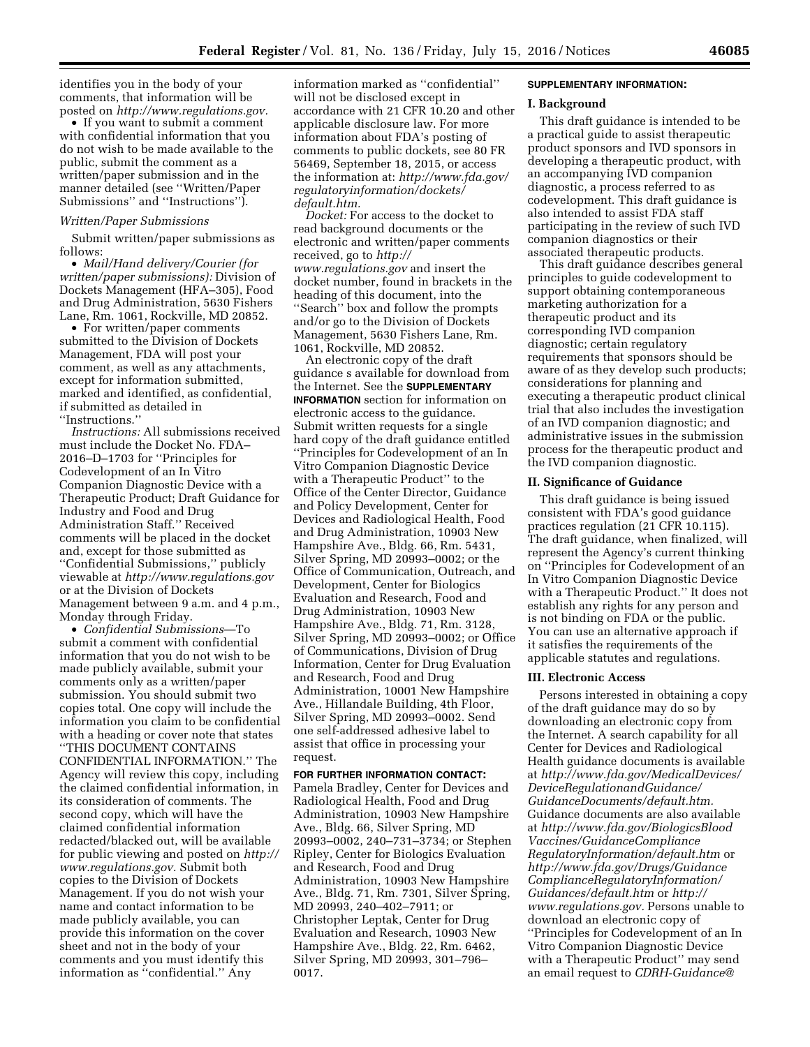identifies you in the body of your comments, that information will be posted on *[http://www.regulations.gov.](http://www.regulations.gov)* 

• If you want to submit a comment with confidential information that you do not wish to be made available to the public, submit the comment as a written/paper submission and in the manner detailed (see ''Written/Paper Submissions'' and ''Instructions'').

#### *Written/Paper Submissions*

Submit written/paper submissions as follows:

• *Mail/Hand delivery/Courier (for written/paper submissions):* Division of Dockets Management (HFA–305), Food and Drug Administration, 5630 Fishers Lane, Rm. 1061, Rockville, MD 20852.

• For written/paper comments submitted to the Division of Dockets Management, FDA will post your comment, as well as any attachments, except for information submitted, marked and identified, as confidential, if submitted as detailed in ''Instructions.''

*Instructions:* All submissions received must include the Docket No. FDA– 2016–D–1703 for ''Principles for Codevelopment of an In Vitro Companion Diagnostic Device with a Therapeutic Product; Draft Guidance for Industry and Food and Drug Administration Staff.'' Received comments will be placed in the docket and, except for those submitted as ''Confidential Submissions,'' publicly viewable at *<http://www.regulations.gov>* or at the Division of Dockets Management between 9 a.m. and 4 p.m., Monday through Friday.

• *Confidential Submissions*—To submit a comment with confidential information that you do not wish to be made publicly available, submit your comments only as a written/paper submission. You should submit two copies total. One copy will include the information you claim to be confidential with a heading or cover note that states ''THIS DOCUMENT CONTAINS CONFIDENTIAL INFORMATION.'' The Agency will review this copy, including the claimed confidential information, in its consideration of comments. The second copy, which will have the claimed confidential information redacted/blacked out, will be available for public viewing and posted on *[http://](http://www.regulations.gov)  [www.regulations.gov.](http://www.regulations.gov)* Submit both copies to the Division of Dockets Management. If you do not wish your name and contact information to be made publicly available, you can provide this information on the cover sheet and not in the body of your comments and you must identify this information as ''confidential.'' Any

information marked as ''confidential'' will not be disclosed except in accordance with 21 CFR 10.20 and other applicable disclosure law. For more information about FDA's posting of comments to public dockets, see 80 FR 56469, September 18, 2015, or access the information at: *[http://www.fda.gov/](http://www.fda.gov/regulatoryinformation/dockets/default.htm)  [regulatoryinformation/dockets/](http://www.fda.gov/regulatoryinformation/dockets/default.htm) [default.htm.](http://www.fda.gov/regulatoryinformation/dockets/default.htm)* 

*Docket:* For access to the docket to read background documents or the electronic and written/paper comments received, go to *[http://](http://www.regulations.gov) [www.regulations.gov](http://www.regulations.gov)* and insert the docket number, found in brackets in the heading of this document, into the ''Search'' box and follow the prompts and/or go to the Division of Dockets Management, 5630 Fishers Lane, Rm. 1061, Rockville, MD 20852.

An electronic copy of the draft guidance s available for download from the Internet. See the **SUPPLEMENTARY INFORMATION** section for information on electronic access to the guidance. Submit written requests for a single hard copy of the draft guidance entitled ''Principles for Codevelopment of an In Vitro Companion Diagnostic Device with a Therapeutic Product'' to the Office of the Center Director, Guidance and Policy Development, Center for Devices and Radiological Health, Food and Drug Administration, 10903 New Hampshire Ave., Bldg. 66, Rm. 5431, Silver Spring, MD 20993–0002; or the Office of Communication, Outreach, and Development, Center for Biologics Evaluation and Research, Food and Drug Administration, 10903 New Hampshire Ave., Bldg. 71, Rm. 3128, Silver Spring, MD 20993–0002; or Office of Communications, Division of Drug Information, Center for Drug Evaluation and Research, Food and Drug Administration, 10001 New Hampshire Ave., Hillandale Building, 4th Floor, Silver Spring, MD 20993–0002. Send one self-addressed adhesive label to assist that office in processing your request.

**FOR FURTHER INFORMATION CONTACT:**  Pamela Bradley, Center for Devices and Radiological Health, Food and Drug Administration, 10903 New Hampshire Ave., Bldg. 66, Silver Spring, MD 20993–0002, 240–731–3734; or Stephen Ripley, Center for Biologics Evaluation and Research, Food and Drug Administration, 10903 New Hampshire Ave., Bldg. 71, Rm. 7301, Silver Spring, MD 20993, 240–402–7911; or Christopher Leptak, Center for Drug Evaluation and Research, 10903 New Hampshire Ave., Bldg. 22, Rm. 6462, Silver Spring, MD 20993, 301–796– 0017.

#### **SUPPLEMENTARY INFORMATION:**

#### **I. Background**

This draft guidance is intended to be a practical guide to assist therapeutic product sponsors and IVD sponsors in developing a therapeutic product, with an accompanying IVD companion diagnostic, a process referred to as codevelopment. This draft guidance is also intended to assist FDA staff participating in the review of such IVD companion diagnostics or their associated therapeutic products.

This draft guidance describes general principles to guide codevelopment to support obtaining contemporaneous marketing authorization for a therapeutic product and its corresponding IVD companion diagnostic; certain regulatory requirements that sponsors should be aware of as they develop such products; considerations for planning and executing a therapeutic product clinical trial that also includes the investigation of an IVD companion diagnostic; and administrative issues in the submission process for the therapeutic product and the IVD companion diagnostic.

### **II. Significance of Guidance**

This draft guidance is being issued consistent with FDA's good guidance practices regulation (21 CFR 10.115). The draft guidance, when finalized, will represent the Agency's current thinking on ''Principles for Codevelopment of an In Vitro Companion Diagnostic Device with a Therapeutic Product.'' It does not establish any rights for any person and is not binding on FDA or the public. You can use an alternative approach if it satisfies the requirements of the applicable statutes and regulations.

#### **III. Electronic Access**

Persons interested in obtaining a copy of the draft guidance may do so by downloading an electronic copy from the Internet. A search capability for all Center for Devices and Radiological Health guidance documents is available at *[http://www.fda.gov/MedicalDevices/](http://www.fda.gov/MedicalDevices/DeviceRegulationandGuidance/GuidanceDocuments/default.htm) [DeviceRegulationandGuidance/](http://www.fda.gov/MedicalDevices/DeviceRegulationandGuidance/GuidanceDocuments/default.htm) [GuidanceDocuments/default.htm.](http://www.fda.gov/MedicalDevices/DeviceRegulationandGuidance/GuidanceDocuments/default.htm)*  Guidance documents are also available at *[http://www.fda.gov/BiologicsBlood](http://www.fda.gov/BiologicsBloodVaccines/GuidanceComplianceRegulatoryInformation/default.htm) [Vaccines/GuidanceCompliance](http://www.fda.gov/BiologicsBloodVaccines/GuidanceComplianceRegulatoryInformation/default.htm) [RegulatoryInformation/default.htm](http://www.fda.gov/BiologicsBloodVaccines/GuidanceComplianceRegulatoryInformation/default.htm)* or *[http://www.fda.gov/Drugs/Guidance](http://www.fda.gov/Drugs/GuidanceComplianceRegulatoryInformation/Guidances/default.htm) [ComplianceRegulatoryInformation/](http://www.fda.gov/Drugs/GuidanceComplianceRegulatoryInformation/Guidances/default.htm) [Guidances/default.htm](http://www.fda.gov/Drugs/GuidanceComplianceRegulatoryInformation/Guidances/default.htm)* or *[http://](http://www.regulations.gov) [www.regulations.gov.](http://www.regulations.gov)* Persons unable to download an electronic copy of ''Principles for Codevelopment of an In Vitro Companion Diagnostic Device with a Therapeutic Product'' may send an email request to *[CDRH-Guidance@](mailto:CDRH-Guidance@fda.hhs.gov)*